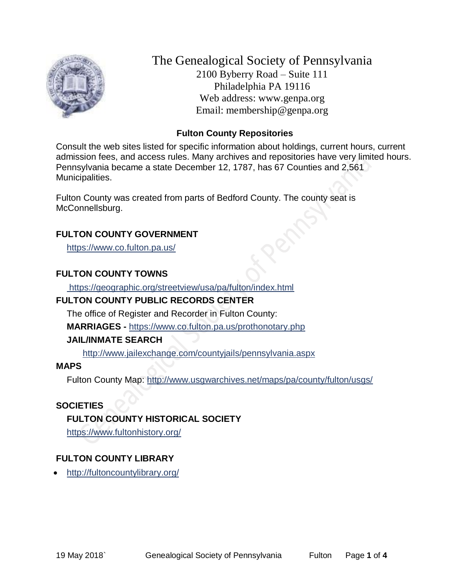

The Genealogical Society of Pennsylvania 2100 Byberry Road – Suite 111 Philadelphia PA 19116 Web address: www.genpa.org Email: membership@genpa.org

# **Fulton County Repositories**

Consult the web sites listed for specific information about holdings, current hours, current admission fees, and access rules. Many archives and repositories have very limited hours. Pennsylvania became a state December 12, 1787, has 67 Counties and 2,561 Municipalities.

Fulton County was created from parts of Bedford County. The county seat is McConnellsburg.

# **FULTON COUNTY GOVERNMENT**

<https://www.co.fulton.pa.us/>

# **FULTON COUNTY TOWNS**

<https://geographic.org/streetview/usa/pa/fulton/index.html>

# **FULTON COUNTY PUBLIC RECORDS CENTER**

The office of Register and Recorder in Fulton County:

**MARRIAGES -** <https://www.co.fulton.pa.us/prothonotary.php>

# **JAIL/INMATE SEARCH**

<http://www.jailexchange.com/countyjails/pennsylvania.aspx>

# **MAPS**

Fulton County Map:<http://www.usgwarchives.net/maps/pa/county/fulton/usgs/>

# **SOCIETIES**

# **FULTON COUNTY HISTORICAL SOCIETY**

<https://www.fultonhistory.org/>

# **FULTON COUNTY LIBRARY**

<http://fultoncountylibrary.org/>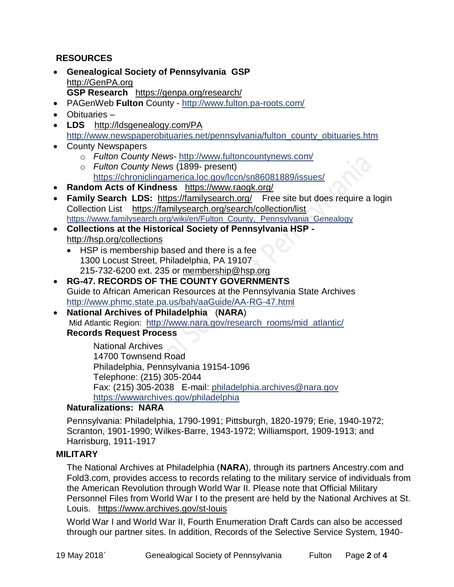# **RESOURCES**

- **Genealogical Society of Pennsylvania GSP** [http://GenPA.org](http://genpa.org/) **GSP Research** <https://genpa.org/research/>
- PAGenWeb **Fulton** County <http://www.fulton.pa-roots.com/>
- Obituaries –
- **LDS** <http://ldsgenealogy.com/PA> [http://www.newspaperobituaries.net/pennsylvania/fulton\\_county\\_obituaries.htm](http://www.newspaperobituaries.net/pennsylvania/fulton_county_obituaries.htm)
- County Newspapers
	- o *Fulton County News* <http://www.fultoncountynews.com/>
	- o *Fulton County News* (1899- present) <https://chroniclingamerica.loc.gov/lccn/sn86081889/issues/>
- **Random Acts of Kindness** <https://www.raogk.org/>
- **Family Search LDS:** <https://familysearch.org/>Free site but does require a login Collection List <https://familysearch.org/search/collection/list> [https://www.familysearch.org/wiki/en/Fulton\\_County,\\_Pennsylvania\\_Genealogy](https://www.familysearch.org/wiki/en/Fulton_County,_Pennsylvania_Genealogy)
- **Collections at the Historical Society of Pennsylvania HSP**  <http://hsp.org/collections>
	- HSP is membership based and there is a fee 1300 Locust Street, Philadelphia, PA 19107 215-732-6200 ext. 235 or [membership@hsp.org](mailto:membership@hsp.org)
- **RG-47. RECORDS OF THE COUNTY GOVERNMENTS** Guide to African American Resources at the Pennsylvania State Archives <http://www.phmc.state.pa.us/bah/aaGuide/AA-RG-47.html>
- **National Archives of Philadelphia** (**NARA**) Mid Atlantic Region: [http://www.nara.gov/research\\_rooms/mid\\_atlantic/](http://www.nara.gov/research_rooms/mid_atlantic/) **Records Request Process**

National Archives 14700 Townsend Road Philadelphia, Pennsylvania 19154-1096 Telephone: (215) 305-2044 Fax: (215) 305-2038 E-mail: [philadelphia.archives@nara.gov](mailto:philadelphia.archives@nara.gov) <https://wwwarchives.gov/philadelphia>

# **Naturalizations: NARA**

Pennsylvania: Philadelphia, 1790-1991; Pittsburgh, 1820-1979; Erie, 1940-1972; Scranton, 1901-1990; Wilkes-Barre, 1943-1972; Williamsport, 1909-1913; and Harrisburg, 1911-1917

#### **MILITARY**

The National Archives at Philadelphia (**NARA**), through its partners Ancestry.com and Fold3.com, provides access to records relating to the military service of individuals from the American Revolution through World War II. Please note that Official Military Personnel Files from World War I to the present are held by the National Archives at St. Louis. <https://www.archives.gov/st-louis>

World War I and World War II, Fourth Enumeration Draft Cards can also be accessed through our partner sites. In addition, Records of the Selective Service System, 1940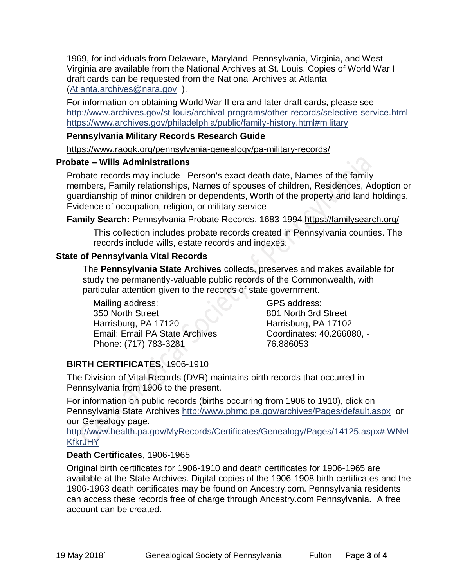1969, for individuals from Delaware, Maryland, Pennsylvania, Virginia, and West Virginia are available from the National Archives at St. Louis. Copies of World War I draft cards can be requested from the National Archives at Atlanta [\(Atlanta.archives@nara.gov](mailto:Atlanta.archives@nara.gov) ).

For information on obtaining World War II era and later draft cards, please see <http://www.archives.gov/st-louis/archival-programs/other-records/selective-service.html> <https://www.archives.gov/philadelphia/public/family-history.html#military>

### **Pennsylvania Military Records Research Guide**

<https://www.raogk.org/pennsylvania-genealogy/pa-military-records/>

#### **Probate – Wills Administrations**

Probate records may include Person's exact death date, Names of the family members, Family relationships, Names of spouses of children, Residences, Adoption or guardianship of minor children or dependents, Worth of the property and land holdings, Evidence of occupation, religion, or military service

**Family Search:** Pennsylvania Probate Records, 1683-1994 <https://familysearch.org/>

This collection includes probate records created in Pennsylvania counties. The records include wills, estate records and indexes.

#### **State of Pennsylvania Vital Records**

The **Pennsylvania State Archives** collects, preserves and makes available for study the permanently-valuable public records of the Commonwealth, with particular attention given to the records of state government.

Mailing address: 350 North Street Harrisburg, PA 17120 Email: Email PA State Archives Phone: (717) 783-3281

GPS address: 801 North 3rd Street Harrisburg, PA 17102 Coordinates: 40.266080, - 76.886053

# **BIRTH CERTIFICATES**, 1906-1910

The Division of Vital Records (DVR) maintains birth records that occurred in Pennsylvania from 1906 to the present.

For information on public records (births occurring from 1906 to 1910), click on Pennsylvania State Archives <http://www.phmc.pa.gov/archives/Pages/default.aspx>or our Genealogy page.

[http://www.health.pa.gov/MyRecords/Certificates/Genealogy/Pages/14125.aspx#.WNvL](http://www.health.pa.gov/MyRecords/Certificates/Genealogy/Pages/14125.aspx#.WNvLKfkrJHY) **[KfkrJHY](http://www.health.pa.gov/MyRecords/Certificates/Genealogy/Pages/14125.aspx#.WNvLKfkrJHY)** 

# **Death Certificates**, 1906-1965

Original birth certificates for 1906-1910 and death certificates for 1906-1965 are available at the State Archives. Digital copies of the 1906-1908 birth certificates and the 1906-1963 death certificates may be found on Ancestry.com. Pennsylvania residents can access these records free of charge through Ancestry.com Pennsylvania. A free account can be created.